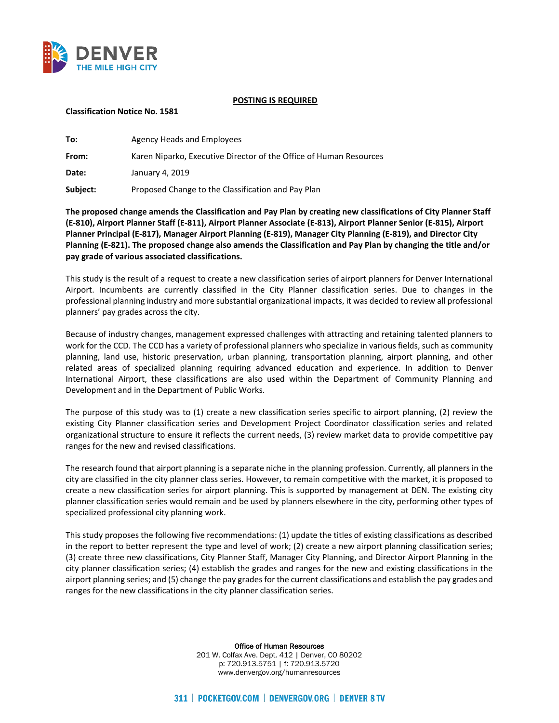

#### **POSTING IS REQUIRED**

### **Classification Notice No. 1581**

| To:      | Agency Heads and Employees                                         |
|----------|--------------------------------------------------------------------|
| From:    | Karen Niparko, Executive Director of the Office of Human Resources |
| Date:    | January 4, 2019                                                    |
| Subject: | Proposed Change to the Classification and Pay Plan                 |

**The proposed change amends the Classification and Pay Plan by creating new classifications of City Planner Staff (E-810), Airport Planner Staff (E-811), Airport Planner Associate (E-813), Airport Planner Senior (E-815), Airport Planner Principal (E-817), Manager Airport Planning (E-819), Manager City Planning (E-819), and Director City Planning (E-821). The proposed change also amends the Classification and Pay Plan by changing the title and/or pay grade of various associated classifications.** 

This study is the result of a request to create a new classification series of airport planners for Denver International Airport. Incumbents are currently classified in the City Planner classification series. Due to changes in the professional planning industry and more substantial organizational impacts, it was decided to review all professional planners' pay grades across the city.

Because of industry changes, management expressed challenges with attracting and retaining talented planners to work for the CCD. The CCD has a variety of professional planners who specialize in various fields, such as community planning, land use, historic preservation, urban planning, transportation planning, airport planning, and other related areas of specialized planning requiring advanced education and experience. In addition to Denver International Airport, these classifications are also used within the Department of Community Planning and Development and in the Department of Public Works.

The purpose of this study was to (1) create a new classification series specific to airport planning, (2) review the existing City Planner classification series and Development Project Coordinator classification series and related organizational structure to ensure it reflects the current needs, (3) review market data to provide competitive pay ranges for the new and revised classifications.

The research found that airport planning is a separate niche in the planning profession. Currently, all planners in the city are classified in the city planner class series. However, to remain competitive with the market, it is proposed to create a new classification series for airport planning. This is supported by management at DEN. The existing city planner classification series would remain and be used by planners elsewhere in the city, performing other types of specialized professional city planning work.

This study proposes the following five recommendations: (1) update the titles of existing classifications as described in the report to better represent the type and level of work; (2) create a new airport planning classification series; (3) create three new classifications, City Planner Staff, Manager City Planning, and Director Airport Planning in the city planner classification series; (4) establish the grades and ranges for the new and existing classifications in the airport planning series; and (5) change the pay grades for the current classifications and establish the pay grades and ranges for the new classifications in the city planner classification series.

Office of Human Resources

201 W. Colfax Ave. Dept. 412 | Denver, CO 80202 p: 720.913.5751 | f: 720.913.5720 www.denvergov.org/humanresources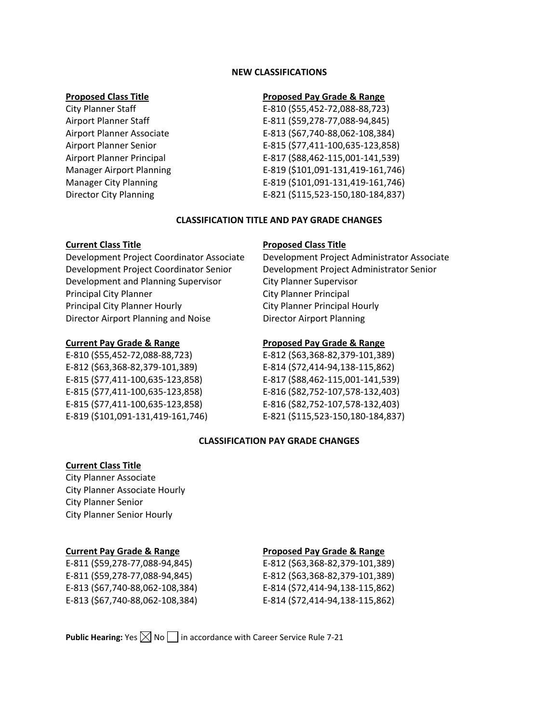### **NEW CLASSIFICATIONS**

### **Proposed Class Title Proposed Pay Grade & Range**

City Planner Staff E-810 (\$55,452-72,088-88,723) Airport Planner Staff E-811 (\$59,278-77,088-94,845) Airport Planner Associate E-813 (\$67,740-88,062-108,384) Airport Planner Senior E-815 (\$77,411-100,635-123,858) Airport Planner Principal E-817 (\$88,462-115,001-141,539) Manager Airport Planning E-819 (\$101,091-131,419-161,746) Manager City Planning E-819 (\$101,091-131,419-161,746) Director City Planning E-821 (\$115,523-150,180-184,837)

### **CLASSIFICATION TITLE AND PAY GRADE CHANGES**

Development Project Coordinator Senior Development Project Administrator Senior Development and Planning Supervisor City Planner Supervisor Principal City Planner City Planner Principal Principal City Planner Hourly **City Planner Principal Hourly** Director Airport Planning and Noise Director Airport Planning

E-810 (\$55,452-72,088-88,723) E-812 (\$63,368-82,379-101,389) E-812 (\$63,368-82,379-101,389) E-814 (\$72,414-94,138-115,862) E-815 (\$77,411-100,635-123,858) E-817 (\$88,462-115,001-141,539) E-815 (\$77,411-100,635-123,858) E-816 (\$82,752-107,578-132,403) E-815 (\$77,411-100,635-123,858) E-816 (\$82,752-107,578-132,403) E-819 (\$101,091-131,419-161,746) E-821 (\$115,523-150,180-184,837)

# **Current Class Title Proposed Class Title**

Development Project Coordinator Associate Development Project Administrator Associate

# **Current Pay Grade & Range Proposed Pay Grade & Range**

# **CLASSIFICATION PAY GRADE CHANGES**

# **Current Class Title**

City Planner Associate City Planner Associate Hourly City Planner Senior City Planner Senior Hourly

# **Current Pay Grade & Range Proposed Pay Grade & Range**

E-811 (\$59,278-77,088-94,845) E-812 (\$63,368-82,379-101,389) E-811 (\$59,278-77,088-94,845) E-812 (\$63,368-82,379-101,389) E-813 (\$67,740-88,062-108,384) E-814 (\$72,414-94,138-115,862) E-813 (\$67,740-88,062-108,384) E-814 (\$72,414-94,138-115,862)

**Public Hearing:** Yes  $\boxtimes$  No  $\Box$  in accordance with Career Service Rule 7-21